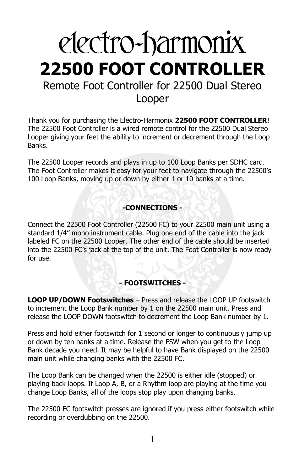# electro-harmonix **22500 FOOT CONTROLLER** Remote Foot Controller for 22500 Dual Stereo Looper

Thank you for purchasing the Electro-Harmonix **22500 FOOT CONTROLLER**! The 22500 Foot Controller is a wired remote control for the 22500 Dual Stereo Looper giving your feet the ability to increment or decrement through the Loop Banks.

The 22500 Looper records and plays in up to 100 Loop Banks per SDHC card. The Foot Controller makes it easy for your feet to navigate through the 22500's 100 Loop Banks, moving up or down by either 1 or 10 banks at a time.

# **-CONNECTIONS -**

Connect the 22500 Foot Controller (22500 FC) to your 22500 main unit using a standard 1/4" mono instrument cable. Plug one end of the cable into the jack labeled FC on the 22500 Looper. The other end of the cable should be inserted into the 22500 FC's jack at the top of the unit. The Foot Controller is now ready for use.

# **- FOOTSWITCHES -**

**LOOP UP/DOWN Footswitches** – Press and release the LOOP UP footswitch to increment the Loop Bank number by 1 on the 22500 main unit. Press and release the LOOP DOWN footswitch to decrement the Loop Bank number by 1.

Press and hold either footswitch for 1 second or longer to continuously jump up or down by ten banks at a time. Release the FSW when you get to the Loop Bank decade you need. It may be helpful to have Bank displayed on the 22500 main unit while changing banks with the 22500 FC.

The Loop Bank can be changed when the 22500 is either idle (stopped) or playing back loops. If Loop A, B, or a Rhythm loop are playing at the time you change Loop Banks, all of the loops stop play upon changing banks.

The 22500 FC footswitch presses are ignored if you press either footswitch while recording or overdubbing on the 22500.